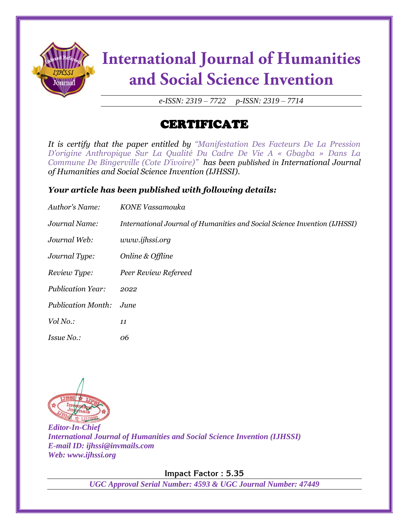

# **International Journal of Humanities** and Social Science Invention

*e-ISSN: 2319 – 7722 p-ISSN: 2319 – 7714*

## CERTIFICATE

*It is certify that the paper entitled by "Manifestation Des Facteurs De La Pression D'origine Anthropique Sur La Qualité Du Cadre De Vie A « Gbagba » Dans La Commune De Bingerville (Cote D'ivoire)" has been published in International Journal of Humanities and Social Science Invention (IJHSSI).*

### *Your article has been published with following details:*

| Author's Name:            | KONE Vassamouka                                                           |
|---------------------------|---------------------------------------------------------------------------|
| Journal Name:             | International Journal of Humanities and Social Science Invention (IJHSSI) |
| Journal Web:              | www.ijhssi.org                                                            |
| Journal Type:             | Online & Offline                                                          |
| Review Type:              | Peer Review Refereed                                                      |
| <b>Publication Year:</b>  | 2022                                                                      |
| <b>Publication Month:</b> | June                                                                      |
| Vol No.:                  | 11                                                                        |
| <i>Issue No.:</i>         | 06                                                                        |



*Editor-In-Chief International Journal of Humanities and Social Science Invention (IJHSSI) E-mail ID: ijhssi@invmails.com Web: www.ijhssi.org*

**Impact Factor : 5.35**

*UGC Approval Serial Number: 4593 & UGC Journal Number: 47449*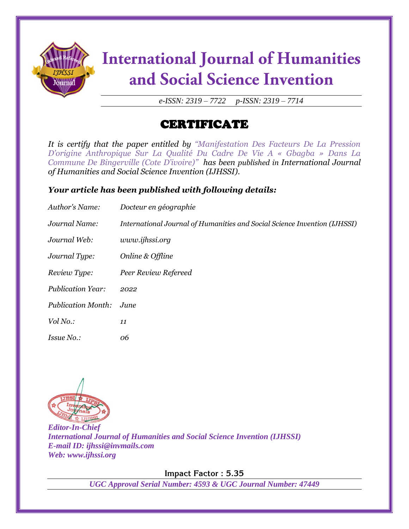

# **International Journal of Humanities** and Social Science Invention

*e-ISSN: 2319 – 7722 p-ISSN: 2319 – 7714*

## CERTIFICATE

*It is certify that the paper entitled by "Manifestation Des Facteurs De La Pression D'origine Anthropique Sur La Qualité Du Cadre De Vie A « Gbagba » Dans La Commune De Bingerville (Cote D'ivoire)" has been published in International Journal of Humanities and Social Science Invention (IJHSSI).*

### *Your article has been published with following details:*

| <b>Author's Name:</b>     | Docteur en géographie                                                     |
|---------------------------|---------------------------------------------------------------------------|
| Journal Name:             | International Journal of Humanities and Social Science Invention (IJHSSI) |
| Journal Web:              | www.ijhssi.org                                                            |
| Journal Type:             | Online & Offline                                                          |
| Review Type:              | Peer Review Refereed                                                      |
| <b>Publication Year:</b>  | 2022                                                                      |
| <b>Publication Month:</b> | June                                                                      |
| Vol No.:                  | 11                                                                        |
| <i>Issue No.:</i>         | 06                                                                        |



*Editor-In-Chief International Journal of Humanities and Social Science Invention (IJHSSI) E-mail ID: ijhssi@invmails.com Web: www.ijhssi.org*

**Impact Factor : 5.35**

*UGC Approval Serial Number: 4593 & UGC Journal Number: 47449*